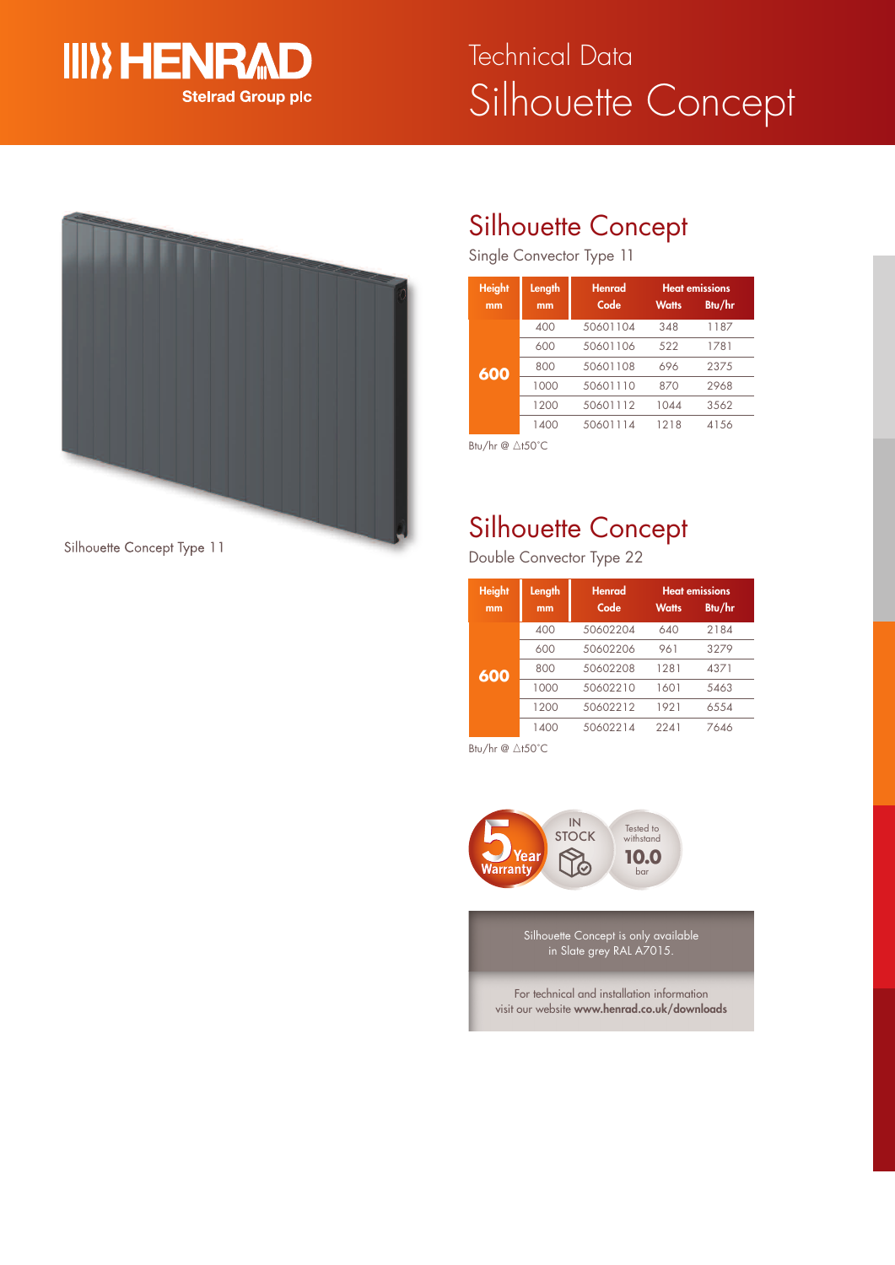

# Silhouette Concept Technical Data



Silhouette Concept Type 11

# Silhouette Concept

Single Convector Type 11

| <b>Height</b><br>mm | Length<br>mm | <b>Henrad</b><br>Code | <b>Watts</b> | <b>Heat emissions</b><br>Btu/hr |
|---------------------|--------------|-----------------------|--------------|---------------------------------|
|                     | 400          | 50601104              | 348          | 1187                            |
|                     | 600          | 50601106              | 522          | 1781                            |
| 600                 | 800          | 50601108              | 696          | 2375                            |
|                     | 1000         | 50601110              | 870          | 2968                            |
|                     | 1200         | 50601112              | 1044         | 3562                            |
|                     | 1400         | 50601114              | 1218         | 4156                            |

Btu/hr @ ∆t50°C

# Silhouette Concept

Double Convector Type 22

| <b>Height</b><br>mm | Length<br>mm | Henrad<br>Code | <b>Watts</b> | <b>Heat emissions</b><br>Btu/hr |
|---------------------|--------------|----------------|--------------|---------------------------------|
|                     | 400          | 50602204       | 640          | 2184                            |
|                     | 600          | 50602206       | 961          | 3279                            |
| 600                 | 800          | 50602208       | 1281         | 4371                            |
|                     | 1000         | 50602210       | 1601         | 5463                            |
|                     | 1200         | 50602212       | 1921         | 6554                            |
|                     | 1400         | 50602214       | 2241         | 7646                            |

Btu/hr  $@ \triangle$ t50°C



Silhouette Concept is only available in Slate grey RAL A7015.

For technical and installation information visit our website **www.henrad.co.uk/downloads**